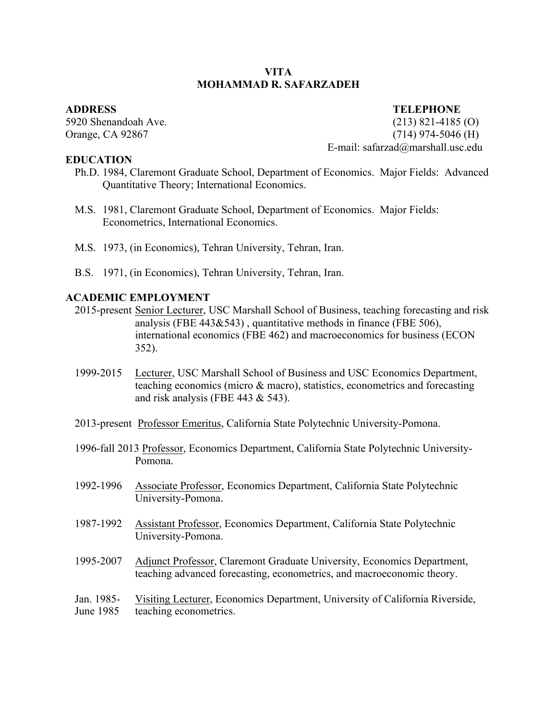# **VITA MOHAMMAD R. SAFARZADEH**

**EDUCATION**

# **ADDRESS TELEPHONE**

5920 Shenandoah Ave. (213) 821-4185 (O) Orange, CA 92867 (714) 974-5046 (H) E-mail: safarzad@marshall.usc.edu

- Ph.D. 1984, Claremont Graduate School, Department of Economics. Major Fields: Advanced Quantitative Theory; International Economics.
- M.S. 1981, Claremont Graduate School, Department of Economics. Major Fields: Econometrics, International Economics.
- M.S. 1973, (in Economics), Tehran University, Tehran, Iran.
- B.S. 1971, (in Economics), Tehran University, Tehran, Iran.

# **ACADEMIC EM ACADEMIC EMPLOYMENT**

- 2015-present Senior Lecturer, USC Marshall School of Business, teaching forecasting and risk analysis (FBE 443&543) , quantitative methods in finance (FBE 506), international economics (FBE 462) and macroeconomics for business (ECON 352).
- 1999-2015 Lecturer, USC Marshall School of Business and USC Economics Department, teaching economics (micro & macro), statistics, econometrics and forecasting and risk analysis (FBE 443 & 543).
- 2013-present Professor Emeritus, California State Polytechnic University-Pomona.
- 1996-fall 2013 Professor, Economics Department, California State Polytechnic University-Pomona.
- 1992-1996 Associate Professor, Economics Department, California State Polytechnic University-Pomona.
- 1987-1992 Assistant Professor, Economics Department, California State Polytechnic University-Pomona.
- 1995-2007 Adjunct Professor, Claremont Graduate University, Economics Department, teaching advanced forecasting, econometrics, and macroeconomic theory.
- Jan. 1985- Visiting Lecturer, Economics Department, University of California Riverside, June 1985 teaching econometrics.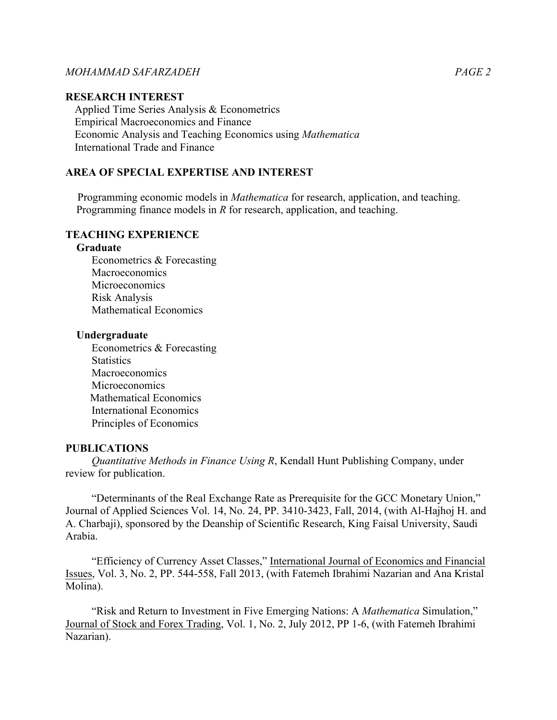# **RESEARCH INTEREST**

Applied Time Series Analysis & Econometrics Empirical Macroeconomics and Finance Economic Analysis and Teaching Economics using *Mathematica* International Trade and Finance

# **AREA OF SPECIAL EXPERTISE AND INTEREST**

Programming economic models in *Mathematica* for research, application, and teaching. Programming finance models in *R* for research, application, and teaching.

### **TEACHING EXPERIENCE**

#### **Graduate**

Econometrics & Forecasting Macroeconomics Microeconomics Risk Analysis Mathematical Economics

#### **Undergraduate**

Econometrics & Forecasting **Statistics Macroeconomics** Microeconomics Mathematical Economics International Economics Principles of Economics

# **PUBLICATIONS**

*Quantitative Methods in Finance Using R*, Kendall Hunt Publishing Company, under review for publication.

"Determinants of the Real Exchange Rate as Prerequisite for the GCC Monetary Union," Journal of Applied Sciences Vol. 14, No. 24, PP. 3410-3423, Fall, 2014, (with Al-Hajhoj H. and A. Charbaji), sponsored by the Deanship of Scientific Research, King Faisal University, Saudi Arabia.

"Efficiency of Currency Asset Classes," International Journal of Economics and Financial Issues, Vol. 3, No. 2, PP. 544-558, Fall 2013, (with Fatemeh Ibrahimi Nazarian and Ana Kristal Molina).

"Risk and Return to Investment in Five Emerging Nations: A *Mathematica* Simulation," Journal of Stock and Forex Trading, Vol. 1, No. 2, July 2012, PP 1-6, (with Fatemeh Ibrahimi Nazarian).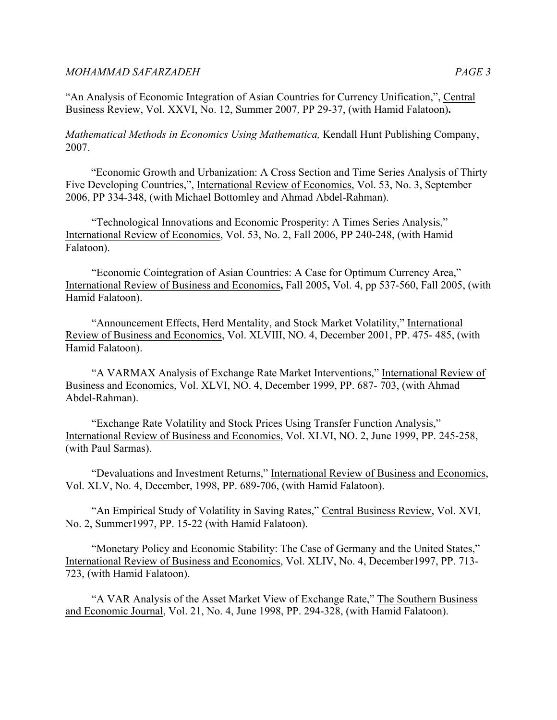"An Analysis of Economic Integration of Asian Countries for Currency Unification,", Central Business Review, Vol. XXVI, No. 12, Summer 2007, PP 29-37, (with Hamid Falatoon)**.** 

*Mathematical Methods in Economics Using Mathematica,* Kendall Hunt Publishing Company, 2007.

 "Economic Growth and Urbanization: A Cross Section and Time Series Analysis of Thirty Five Developing Countries,", International Review of Economics, Vol. 53, No. 3, September 2006, PP 334-348, (with Michael Bottomley and Ahmad Abdel-Rahman).

"Technological Innovations and Economic Prosperity: A Times Series Analysis," International Review of Economics, Vol. 53, No. 2, Fall 2006, PP 240-248, (with Hamid Falatoon).

"Economic Cointegration of Asian Countries: A Case for Optimum Currency Area," International Review of Business and Economics**,** Fall 2005**,** Vol. 4, pp 537-560, Fall 2005, (with Hamid Falatoon).

"Announcement Effects, Herd Mentality, and Stock Market Volatility," International Review of Business and Economics, Vol. XLVIII, NO. 4, December 2001, PP. 475- 485, (with Hamid Falatoon).

"A VARMAX Analysis of Exchange Rate Market Interventions," International Review of Business and Economics, Vol. XLVI, NO. 4, December 1999, PP. 687- 703, (with Ahmad Abdel-Rahman).

"Exchange Rate Volatility and Stock Prices Using Transfer Function Analysis," International Review of Business and Economics, Vol. XLVI, NO. 2, June 1999, PP. 245-258, (with Paul Sarmas).

"Devaluations and Investment Returns," International Review of Business and Economics, Vol. XLV, No. 4, December, 1998, PP. 689-706, (with Hamid Falatoon).

"An Empirical Study of Volatility in Saving Rates," Central Business Review, Vol. XVI, No. 2, Summer1997, PP. 15-22 (with Hamid Falatoon).

"Monetary Policy and Economic Stability: The Case of Germany and the United States," International Review of Business and Economics, Vol. XLIV, No. 4, December1997, PP. 713- 723, (with Hamid Falatoon).

"A VAR Analysis of the Asset Market View of Exchange Rate," The Southern Business and Economic Journal, Vol. 21, No. 4, June 1998, PP. 294-328, (with Hamid Falatoon).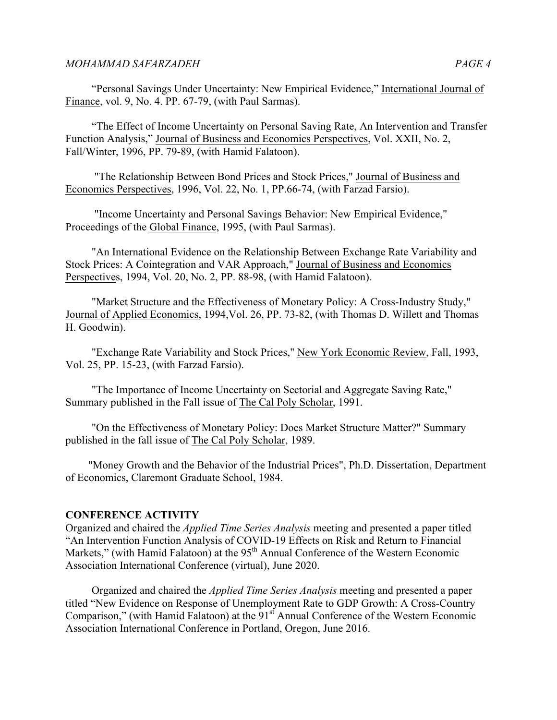"Personal Savings Under Uncertainty: New Empirical Evidence," International Journal of Finance, vol. 9, No. 4. PP. 67-79, (with Paul Sarmas).

"The Effect of Income Uncertainty on Personal Saving Rate, An Intervention and Transfer Function Analysis," Journal of Business and Economics Perspectives, Vol. XXII, No. 2, Fall/Winter, 1996, PP. 79-89, (with Hamid Falatoon).

"The Relationship Between Bond Prices and Stock Prices," Journal of Business and Economics Perspectives, 1996, Vol. 22, No. 1, PP.66-74, (with Farzad Farsio).

"Income Uncertainty and Personal Savings Behavior: New Empirical Evidence," Proceedings of the Global Finance, 1995, (with Paul Sarmas).

"An International Evidence on the Relationship Between Exchange Rate Variability and Stock Prices: A Cointegration and VAR Approach," Journal of Business and Economics Perspectives, 1994, Vol. 20, No. 2, PP. 88-98, (with Hamid Falatoon).

"Market Structure and the Effectiveness of Monetary Policy: A Cross-Industry Study," Journal of Applied Economics, 1994,Vol. 26, PP. 73-82, (with Thomas D. Willett and Thomas H. Goodwin).

"Exchange Rate Variability and Stock Prices," New York Economic Review, Fall, 1993, Vol. 25, PP. 15-23, (with Farzad Farsio).

"The Importance of Income Uncertainty on Sectorial and Aggregate Saving Rate," Summary published in the Fall issue of The Cal Poly Scholar, 1991.

"On the Effectiveness of Monetary Policy: Does Market Structure Matter?" Summary published in the fall issue of The Cal Poly Scholar, 1989.

 "Money Growth and the Behavior of the Industrial Prices", Ph.D. Dissertation, Department of Economics, Claremont Graduate School, 1984.

# **CONFERENCE ACTIVITY**

Organized and chaired the *Applied Time Series Analysis* meeting and presented a paper titled "An Intervention Function Analysis of COVID-19 Effects on Risk and Return to Financial Markets," (with Hamid Falatoon) at the  $95<sup>th</sup>$  Annual Conference of the Western Economic Association International Conference (virtual), June 2020.

Organized and chaired the *Applied Time Series Analysis* meeting and presented a paper titled "New Evidence on Response of Unemployment Rate to GDP Growth: A Cross-Country Comparison," (with Hamid Falatoon) at the  $91<sup>st</sup>$  Annual Conference of the Western Economic Association International Conference in Portland, Oregon, June 2016.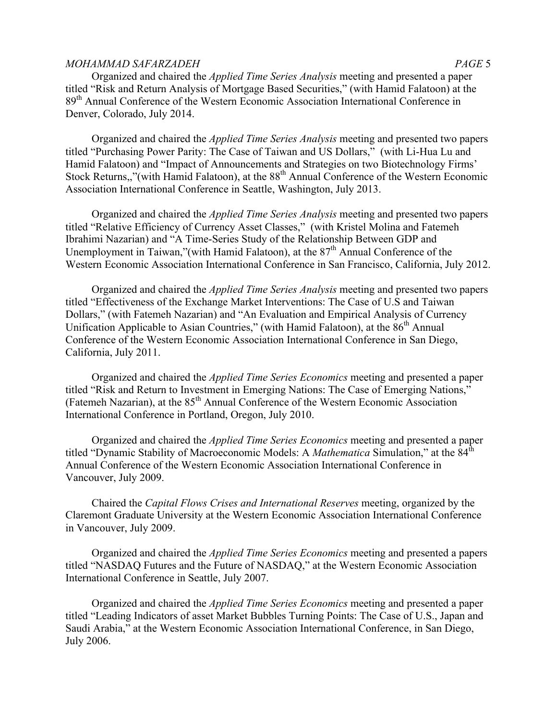Organized and chaired the *Applied Time Series Analysis* meeting and presented a paper titled "Risk and Return Analysis of Mortgage Based Securities," (with Hamid Falatoon) at the 89<sup>th</sup> Annual Conference of the Western Economic Association International Conference in Denver, Colorado, July 2014.

Organized and chaired the *Applied Time Series Analysis* meeting and presented two papers titled "Purchasing Power Parity: The Case of Taiwan and US Dollars," (with Li-Hua Lu and Hamid Falatoon) and "Impact of Announcements and Strategies on two Biotechnology Firms' Stock Returns,,"(with Hamid Falatoon), at the 88<sup>th</sup> Annual Conference of the Western Economic Association International Conference in Seattle, Washington, July 2013.

Organized and chaired the *Applied Time Series Analysis* meeting and presented two papers titled "Relative Efficiency of Currency Asset Classes," (with Kristel Molina and Fatemeh Ibrahimi Nazarian) and "A Time-Series Study of the Relationship Between GDP and Unemployment in Taiwan,"(with Hamid Falatoon), at the 87<sup>th</sup> Annual Conference of the Western Economic Association International Conference in San Francisco, California, July 2012.

Organized and chaired the *Applied Time Series Analysis* meeting and presented two papers titled "Effectiveness of the Exchange Market Interventions: The Case of U.S and Taiwan Dollars," (with Fatemeh Nazarian) and "An Evaluation and Empirical Analysis of Currency Unification Applicable to Asian Countries," (with Hamid Falatoon), at the  $86<sup>th</sup>$  Annual Conference of the Western Economic Association International Conference in San Diego, California, July 2011.

Organized and chaired the *Applied Time Series Economics* meeting and presented a paper titled "Risk and Return to Investment in Emerging Nations: The Case of Emerging Nations," (Fatemeh Nazarian), at the 85<sup>th</sup> Annual Conference of the Western Economic Association International Conference in Portland, Oregon, July 2010.

Organized and chaired the *Applied Time Series Economics* meeting and presented a paper titled "Dynamic Stability of Macroeconomic Models: A *Mathematica* Simulation," at the 84th Annual Conference of the Western Economic Association International Conference in Vancouver, July 2009.

Chaired the *Capital Flows Crises and International Reserves* meeting, organized by the Claremont Graduate University at the Western Economic Association International Conference in Vancouver, July 2009.

Organized and chaired the *Applied Time Series Economics* meeting and presented a papers titled "NASDAQ Futures and the Future of NASDAQ," at the Western Economic Association International Conference in Seattle, July 2007.

Organized and chaired the *Applied Time Series Economics* meeting and presented a paper titled "Leading Indicators of asset Market Bubbles Turning Points: The Case of U.S., Japan and Saudi Arabia," at the Western Economic Association International Conference, in San Diego, July 2006.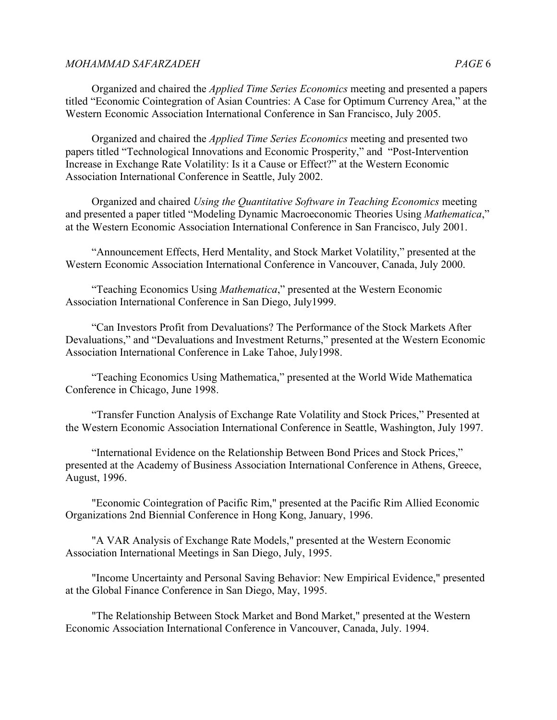Organized and chaired the *Applied Time Series Economics* meeting and presented a papers titled "Economic Cointegration of Asian Countries: A Case for Optimum Currency Area," at the Western Economic Association International Conference in San Francisco, July 2005.

Organized and chaired the *Applied Time Series Economics* meeting and presented two papers titled "Technological Innovations and Economic Prosperity," and "Post-Intervention Increase in Exchange Rate Volatility: Is it a Cause or Effect?" at the Western Economic Association International Conference in Seattle, July 2002.

Organized and chaired *Using the Quantitative Software in Teaching Economics* meeting and presented a paper titled "Modeling Dynamic Macroeconomic Theories Using *Mathematica*," at the Western Economic Association International Conference in San Francisco, July 2001.

"Announcement Effects, Herd Mentality, and Stock Market Volatility," presented at the Western Economic Association International Conference in Vancouver, Canada, July 2000.

"Teaching Economics Using *Mathematica*," presented at the Western Economic Association International Conference in San Diego, July1999.

"Can Investors Profit from Devaluations? The Performance of the Stock Markets After Devaluations," and "Devaluations and Investment Returns," presented at the Western Economic Association International Conference in Lake Tahoe, July1998.

"Teaching Economics Using Mathematica," presented at the World Wide Mathematica Conference in Chicago, June 1998.

"Transfer Function Analysis of Exchange Rate Volatility and Stock Prices," Presented at the Western Economic Association International Conference in Seattle, Washington, July 1997.

"International Evidence on the Relationship Between Bond Prices and Stock Prices," presented at the Academy of Business Association International Conference in Athens, Greece, August, 1996.

"Economic Cointegration of Pacific Rim," presented at the Pacific Rim Allied Economic Organizations 2nd Biennial Conference in Hong Kong, January, 1996.

"A VAR Analysis of Exchange Rate Models," presented at the Western Economic Association International Meetings in San Diego, July, 1995.

"Income Uncertainty and Personal Saving Behavior: New Empirical Evidence," presented at the Global Finance Conference in San Diego, May, 1995.

"The Relationship Between Stock Market and Bond Market," presented at the Western Economic Association International Conference in Vancouver, Canada, July. 1994.